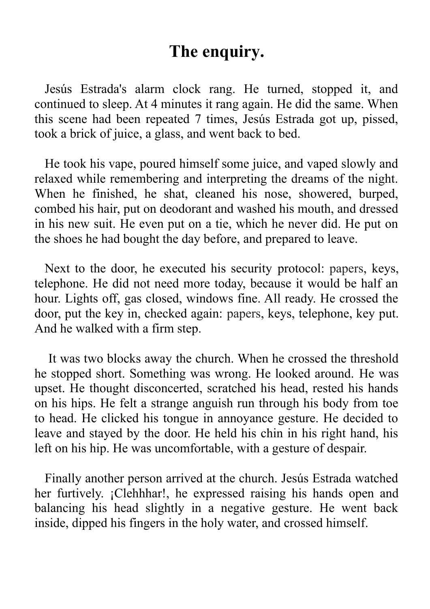## **The enquiry.**

Jesús Estrada's alarm clock rang. He turned, stopped it, and continued to sleep. At 4 minutes it rang again. He did the same. When this scene had been repeated 7 times, Jesús Estrada got up, pissed, took a brick of juice, a glass, and went back to bed.

He took his vape, poured himself some juice, and vaped slowly and relaxed while remembering and interpreting the dreams of the night. When he finished, he shat, cleaned his nose, showered, burped, combed his hair, put on deodorant and washed his mouth, and dressed in his new suit. He even put on a tie, which he never did. He put on the shoes he had bought the day before, and prepared to leave.

Next to the door, he executed his security protocol: papers, keys, telephone. He did not need more today, because it would be half an hour. Lights off, gas closed, windows fine. All ready. He crossed the door, put the key in, checked again: papers, keys, telephone, key put. And he walked with a firm step.

It was two blocks away the church. When he crossed the threshold he stopped short. Something was wrong. He looked around. He was upset. He thought disconcerted, scratched his head, rested his hands on his hips. He felt a strange anguish run through his body from toe to head. He clicked his tongue in annoyance gesture. He decided to leave and stayed by the door. He held his chin in his right hand, his left on his hip. He was uncomfortable, with a gesture of despair.

Finally another person arrived at the church. Jesús Estrada watched her furtively. ¡Clehhhar!, he expressed raising his hands open and balancing his head slightly in a negative gesture. He went back inside, dipped his fingers in the holy water, and crossed himself.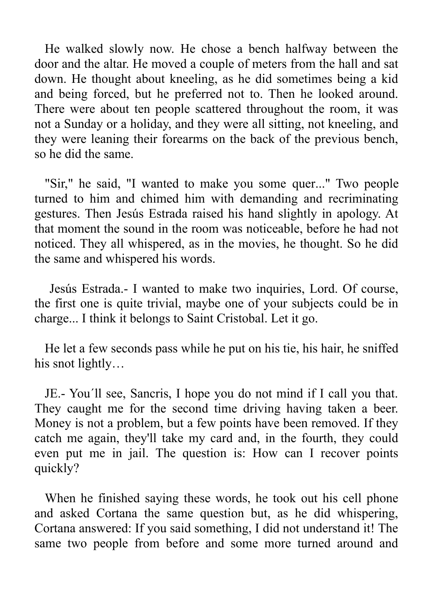He walked slowly now. He chose a bench halfway between the door and the altar. He moved a couple of meters from the hall and sat down. He thought about kneeling, as he did sometimes being a kid and being forced, but he preferred not to. Then he looked around. There were about ten people scattered throughout the room, it was not a Sunday or a holiday, and they were all sitting, not kneeling, and they were leaning their forearms on the back of the previous bench, so he did the same.

"Sir," he said, "I wanted to make you some quer..." Two people turned to him and chimed him with demanding and recriminating gestures. Then Jesús Estrada raised his hand slightly in apology. At that moment the sound in the room was noticeable, before he had not noticed. They all whispered, as in the movies, he thought. So he did the same and whispered his words.

 Jesús Estrada.- I wanted to make two inquiries, Lord. Of course, the first one is quite trivial, maybe one of your subjects could be in charge... I think it belongs to Saint Cristobal. Let it go.

He let a few seconds pass while he put on his tie, his hair, he sniffed his snot lightly…

JE.- You´ll see, Sancris, I hope you do not mind if I call you that. They caught me for the second time driving having taken a beer. Money is not a problem, but a few points have been removed. If they catch me again, they'll take my card and, in the fourth, they could even put me in jail. The question is: How can I recover points quickly?

When he finished saying these words, he took out his cell phone and asked Cortana the same question but, as he did whispering, Cortana answered: If you said something, I did not understand it! The same two people from before and some more turned around and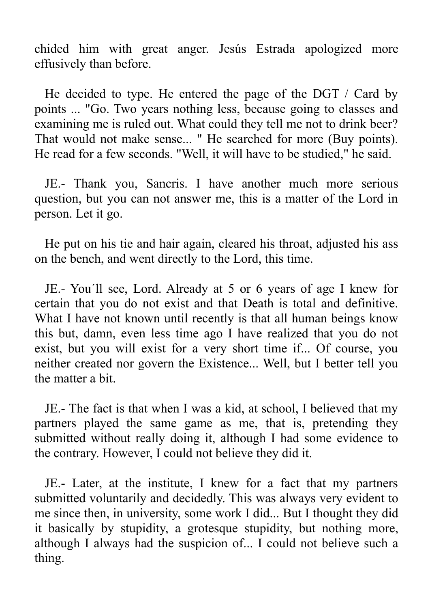chided him with great anger. Jesús Estrada apologized more effusively than before.

He decided to type. He entered the page of the DGT / Card by points ... "Go. Two years nothing less, because going to classes and examining me is ruled out. What could they tell me not to drink beer? That would not make sense... " He searched for more (Buy points). He read for a few seconds. "Well, it will have to be studied," he said.

JE.- Thank you, Sancris. I have another much more serious question, but you can not answer me, this is a matter of the Lord in person. Let it go.

He put on his tie and hair again, cleared his throat, adjusted his ass on the bench, and went directly to the Lord, this time.

JE.- You´ll see, Lord. Already at 5 or 6 years of age I knew for certain that you do not exist and that Death is total and definitive. What I have not known until recently is that all human beings know this but, damn, even less time ago I have realized that you do not exist, but you will exist for a very short time if... Of course, you neither created nor govern the Existence... Well, but I better tell you the matter a bit.

JE.- The fact is that when I was a kid, at school, I believed that my partners played the same game as me, that is, pretending they submitted without really doing it, although I had some evidence to the contrary. However, I could not believe they did it.

JE.- Later, at the institute, I knew for a fact that my partners submitted voluntarily and decidedly. This was always very evident to me since then, in university, some work I did... But I thought they did it basically by stupidity, a grotesque stupidity, but nothing more, although I always had the suspicion of... I could not believe such a thing.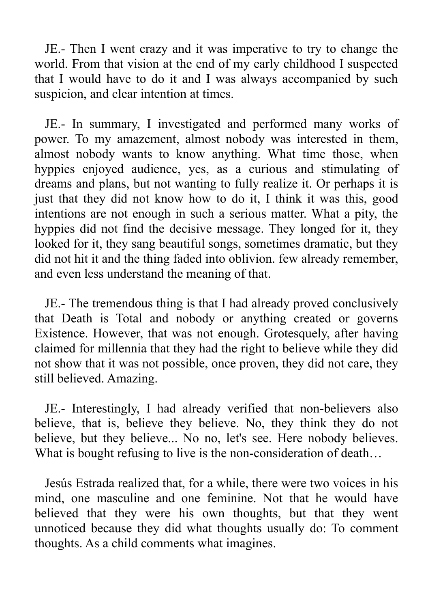JE.- Then I went crazy and it was imperative to try to change the world. From that vision at the end of my early childhood I suspected that I would have to do it and I was always accompanied by such suspicion, and clear intention at times.

JE.- In summary, I investigated and performed many works of power. To my amazement, almost nobody was interested in them, almost nobody wants to know anything. What time those, when hyppies enjoyed audience, yes, as a curious and stimulating of dreams and plans, but not wanting to fully realize it. Or perhaps it is just that they did not know how to do it, I think it was this, good intentions are not enough in such a serious matter. What a pity, the hyppies did not find the decisive message. They longed for it, they looked for it, they sang beautiful songs, sometimes dramatic, but they did not hit it and the thing faded into oblivion. few already remember, and even less understand the meaning of that.

JE.- The tremendous thing is that I had already proved conclusively that Death is Total and nobody or anything created or governs Existence. However, that was not enough. Grotesquely, after having claimed for millennia that they had the right to believe while they did not show that it was not possible, once proven, they did not care, they still believed. Amazing.

JE.- Interestingly, I had already verified that non-believers also believe, that is, believe they believe. No, they think they do not believe, but they believe... No no, let's see. Here nobody believes. What is bought refusing to live is the non-consideration of death...

Jesús Estrada realized that, for a while, there were two voices in his mind, one masculine and one feminine. Not that he would have believed that they were his own thoughts, but that they went unnoticed because they did what thoughts usually do: To comment thoughts. As a child comments what imagines.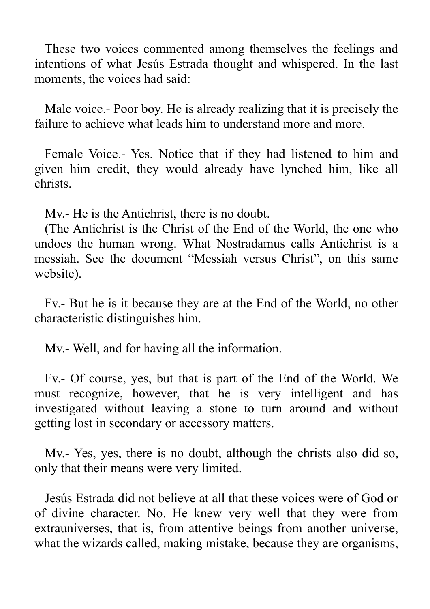These two voices commented among themselves the feelings and intentions of what Jesús Estrada thought and whispered. In the last moments, the voices had said:

Male voice.- Poor boy. He is already realizing that it is precisely the failure to achieve what leads him to understand more and more.

Female Voice.- Yes. Notice that if they had listened to him and given him credit, they would already have lynched him, like all christs.

Mv.- He is the Antichrist, there is no doubt.

(The Antichrist is the Christ of the End of the World, the one who undoes the human wrong. What Nostradamus calls Antichrist is a messiah. See the document "Messiah versus Christ", on this same website).

Fv.- But he is it because they are at the End of the World, no other characteristic distinguishes him.

Mv.- Well, and for having all the information.

Fv.- Of course, yes, but that is part of the End of the World. We must recognize, however, that he is very intelligent and has investigated without leaving a stone to turn around and without getting lost in secondary or accessory matters.

Mv.- Yes, yes, there is no doubt, although the christs also did so, only that their means were very limited.

Jesús Estrada did not believe at all that these voices were of God or of divine character. No. He knew very well that they were from extrauniverses, that is, from attentive beings from another universe, what the wizards called, making mistake, because they are organisms,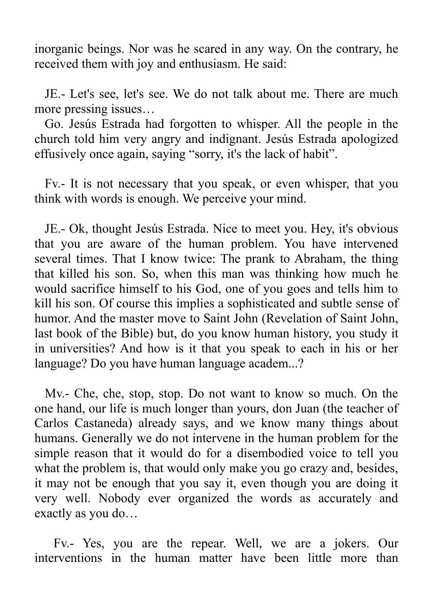inorganic beings. Nor was he scared in any way. On the contrary, he received them with joy and enthusiasm. He said:

JE.- Let's see, let's see. We do not talk about me. There are much more pressing issues…

Go. Jesús Estrada had forgotten to whisper. All the people in the church told him very angry and indignant. Jesús Estrada apologized effusively once again, saying "sorry, it's the lack of habit".

Fv.- It is not necessary that you speak, or even whisper, that you think with words is enough. We perceive your mind.

JE.- Ok, thought Jesús Estrada. Nice to meet you. Hey, it's obvious that you are aware of the human problem. You have intervened several times. That I know twice: The prank to Abraham, the thing that killed his son. So, when this man was thinking how much he would sacrifice himself to his God, one of you goes and tells him to kill his son. Of course this implies a sophisticated and subtle sense of humor. And the master move to Saint John (Revelation of Saint John, last book of the Bible) but, do you know human history, you study it in universities? And how is it that you speak to each in his or her language? Do you have human language academ...?

Mv.- Che, che, stop, stop. Do not want to know so much. On the one hand, our life is much longer than yours, don Juan (the teacher of Carlos Castaneda) already says, and we know many things about humans. Generally we do not intervene in the human problem for the simple reason that it would do for a disembodied voice to tell you what the problem is, that would only make you go crazy and, besides, it may not be enough that you say it, even though you are doing it very well. Nobody ever organized the words as accurately and exactly as you do…

 Fv.- Yes, you are the repear. Well, we are a jokers. Our interventions in the human matter have been little more than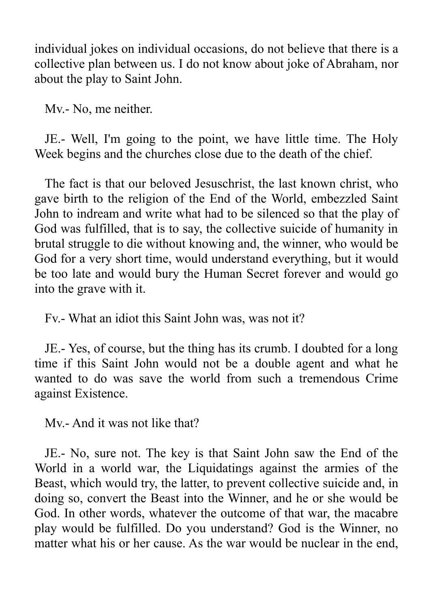individual jokes on individual occasions, do not believe that there is a collective plan between us. I do not know about joke of Abraham, nor about the play to Saint John.

Mv.- No, me neither.

JE.- Well, I'm going to the point, we have little time. The Holy Week begins and the churches close due to the death of the chief.

The fact is that our beloved Jesuschrist, the last known christ, who gave birth to the religion of the End of the World, embezzled Saint John to indream and write what had to be silenced so that the play of God was fulfilled, that is to say, the collective suicide of humanity in brutal struggle to die without knowing and, the winner, who would be God for a very short time, would understand everything, but it would be too late and would bury the Human Secret forever and would go into the grave with it.

Fv.- What an idiot this Saint John was, was not it?

JE.- Yes, of course, but the thing has its crumb. I doubted for a long time if this Saint John would not be a double agent and what he wanted to do was save the world from such a tremendous Crime against Existence.

Mv.- And it was not like that?

JE.- No, sure not. The key is that Saint John saw the End of the World in a world war, the Liquidatings against the armies of the Beast, which would try, the latter, to prevent collective suicide and, in doing so, convert the Beast into the Winner, and he or she would be God. In other words, whatever the outcome of that war, the macabre play would be fulfilled. Do you understand? God is the Winner, no matter what his or her cause. As the war would be nuclear in the end,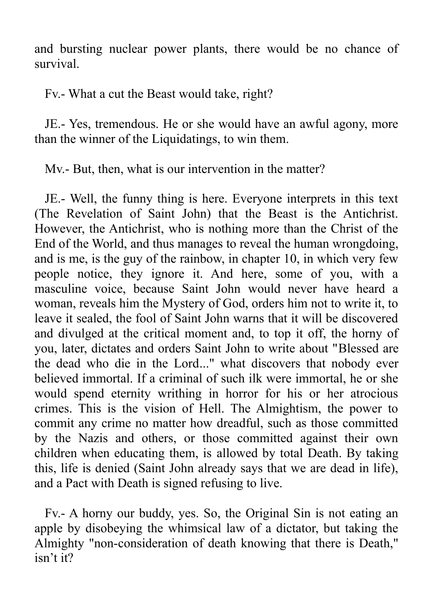and bursting nuclear power plants, there would be no chance of survival.

Fv.- What a cut the Beast would take, right?

JE.- Yes, tremendous. He or she would have an awful agony, more than the winner of the Liquidatings, to win them.

Mv.- But, then, what is our intervention in the matter?

JE.- Well, the funny thing is here. Everyone interprets in this text (The Revelation of Saint John) that the Beast is the Antichrist. However, the Antichrist, who is nothing more than the Christ of the End of the World, and thus manages to reveal the human wrongdoing, and is me, is the guy of the rainbow, in chapter 10, in which very few people notice, they ignore it. And here, some of you, with a masculine voice, because Saint John would never have heard a woman, reveals him the Mystery of God, orders him not to write it, to leave it sealed, the fool of Saint John warns that it will be discovered and divulged at the critical moment and, to top it off, the horny of you, later, dictates and orders Saint John to write about "Blessed are the dead who die in the Lord..." what discovers that nobody ever believed immortal. If a criminal of such ilk were immortal, he or she would spend eternity writhing in horror for his or her atrocious crimes. This is the vision of Hell. The Almightism, the power to commit any crime no matter how dreadful, such as those committed by the Nazis and others, or those committed against their own children when educating them, is allowed by total Death. By taking this, life is denied (Saint John already says that we are dead in life), and a Pact with Death is signed refusing to live.

Fv.- A horny our buddy, yes. So, the Original Sin is not eating an apple by disobeying the whimsical law of a dictator, but taking the Almighty "non-consideration of death knowing that there is Death," isn't it?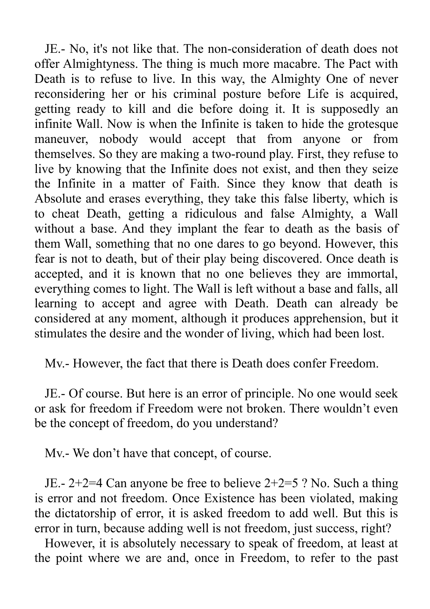JE.- No, it's not like that. The non-consideration of death does not offer Almightyness. The thing is much more macabre. The Pact with Death is to refuse to live. In this way, the Almighty One of never reconsidering her or his criminal posture before Life is acquired, getting ready to kill and die before doing it. It is supposedly an infinite Wall. Now is when the Infinite is taken to hide the grotesque maneuver, nobody would accept that from anyone or from themselves. So they are making a two-round play. First, they refuse to live by knowing that the Infinite does not exist, and then they seize the Infinite in a matter of Faith. Since they know that death is Absolute and erases everything, they take this false liberty, which is to cheat Death, getting a ridiculous and false Almighty, a Wall without a base. And they implant the fear to death as the basis of them Wall, something that no one dares to go beyond. However, this fear is not to death, but of their play being discovered. Once death is accepted, and it is known that no one believes they are immortal, everything comes to light. The Wall is left without a base and falls, all learning to accept and agree with Death. Death can already be considered at any moment, although it produces apprehension, but it stimulates the desire and the wonder of living, which had been lost.

Mv.- However, the fact that there is Death does confer Freedom.

JE.- Of course. But here is an error of principle. No one would seek or ask for freedom if Freedom were not broken. There wouldn't even be the concept of freedom, do you understand?

Mv.- We don't have that concept, of course.

JE.- 2+2=4 Can anyone be free to believe 2+2=5 ? No. Such a thing is error and not freedom. Once Existence has been violated, making the dictatorship of error, it is asked freedom to add well. But this is error in turn, because adding well is not freedom, just success, right?

However, it is absolutely necessary to speak of freedom, at least at the point where we are and, once in Freedom, to refer to the past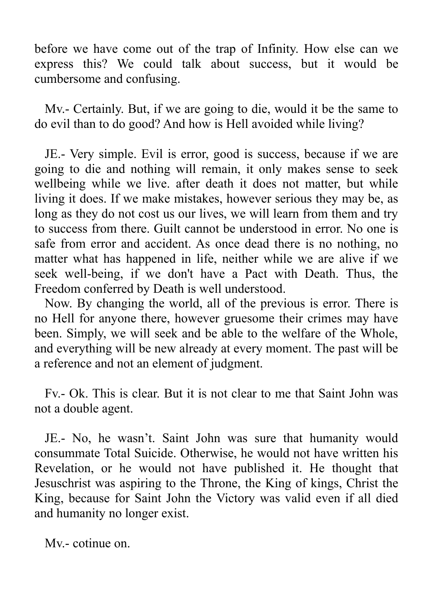before we have come out of the trap of Infinity. How else can we express this? We could talk about success, but it would be cumbersome and confusing.

Mv.- Certainly. But, if we are going to die, would it be the same to do evil than to do good? And how is Hell avoided while living?

JE.- Very simple. Evil is error, good is success, because if we are going to die and nothing will remain, it only makes sense to seek wellbeing while we live. after death it does not matter, but while living it does. If we make mistakes, however serious they may be, as long as they do not cost us our lives, we will learn from them and try to success from there. Guilt cannot be understood in error. No one is safe from error and accident. As once dead there is no nothing, no matter what has happened in life, neither while we are alive if we seek well-being, if we don't have a Pact with Death. Thus, the Freedom conferred by Death is well understood.

Now. By changing the world, all of the previous is error. There is no Hell for anyone there, however gruesome their crimes may have been. Simply, we will seek and be able to the welfare of the Whole, and everything will be new already at every moment. The past will be a reference and not an element of judgment.

Fv.- Ok. This is clear. But it is not clear to me that Saint John was not a double agent.

JE.- No, he wasn't. Saint John was sure that humanity would consummate Total Suicide. Otherwise, he would not have written his Revelation, or he would not have published it. He thought that Jesuschrist was aspiring to the Throne, the King of kings, Christ the King, because for Saint John the Victory was valid even if all died and humanity no longer exist.

Mv.- cotinue on.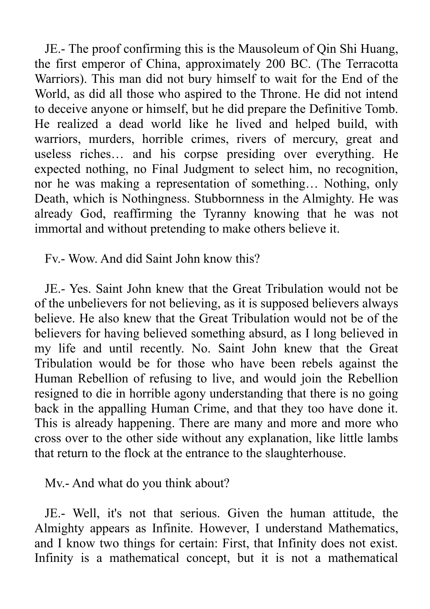JE.- The proof confirming this is the Mausoleum of Qin Shi Huang, the first emperor of China, approximately 200 BC. (The Terracotta Warriors). This man did not bury himself to wait for the End of the World, as did all those who aspired to the Throne. He did not intend to deceive anyone or himself, but he did prepare the Definitive Tomb. He realized a dead world like he lived and helped build, with warriors, murders, horrible crimes, rivers of mercury, great and useless riches… and his corpse presiding over everything. He expected nothing, no Final Judgment to select him, no recognition, nor he was making a representation of something… Nothing, only Death, which is Nothingness. Stubbornness in the Almighty. He was already God, reaffirming the Tyranny knowing that he was not immortal and without pretending to make others believe it.

Fv.- Wow. And did Saint John know this?

JE.- Yes. Saint John knew that the Great Tribulation would not be of the unbelievers for not believing, as it is supposed believers always believe. He also knew that the Great Tribulation would not be of the believers for having believed something absurd, as I long believed in my life and until recently. No. Saint John knew that the Great Tribulation would be for those who have been rebels against the Human Rebellion of refusing to live, and would join the Rebellion resigned to die in horrible agony understanding that there is no going back in the appalling Human Crime, and that they too have done it. This is already happening. There are many and more and more who cross over to the other side without any explanation, like little lambs that return to the flock at the entrance to the slaughterhouse.

Mv.- And what do you think about?

JE.- Well, it's not that serious. Given the human attitude, the Almighty appears as Infinite. However, I understand Mathematics, and I know two things for certain: First, that Infinity does not exist. Infinity is a mathematical concept, but it is not a mathematical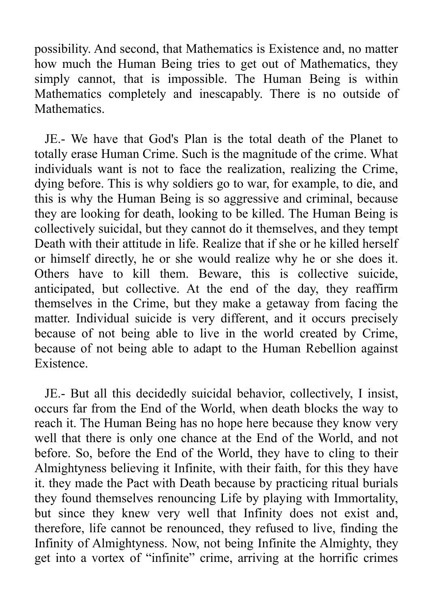possibility. And second, that Mathematics is Existence and, no matter how much the Human Being tries to get out of Mathematics, they simply cannot, that is impossible. The Human Being is within Mathematics completely and inescapably. There is no outside of Mathematics.

JE.- We have that God's Plan is the total death of the Planet to totally erase Human Crime. Such is the magnitude of the crime. What individuals want is not to face the realization, realizing the Crime, dying before. This is why soldiers go to war, for example, to die, and this is why the Human Being is so aggressive and criminal, because they are looking for death, looking to be killed. The Human Being is collectively suicidal, but they cannot do it themselves, and they tempt Death with their attitude in life. Realize that if she or he killed herself or himself directly, he or she would realize why he or she does it. Others have to kill them. Beware, this is collective suicide, anticipated, but collective. At the end of the day, they reaffirm themselves in the Crime, but they make a getaway from facing the matter. Individual suicide is very different, and it occurs precisely because of not being able to live in the world created by Crime, because of not being able to adapt to the Human Rebellion against Existence.

JE.- But all this decidedly suicidal behavior, collectively, I insist, occurs far from the End of the World, when death blocks the way to reach it. The Human Being has no hope here because they know very well that there is only one chance at the End of the World, and not before. So, before the End of the World, they have to cling to their Almightyness believing it Infinite, with their faith, for this they have it. they made the Pact with Death because by practicing ritual burials they found themselves renouncing Life by playing with Immortality, but since they knew very well that Infinity does not exist and, therefore, life cannot be renounced, they refused to live, finding the Infinity of Almightyness. Now, not being Infinite the Almighty, they get into a vortex of "infinite" crime, arriving at the horrific crimes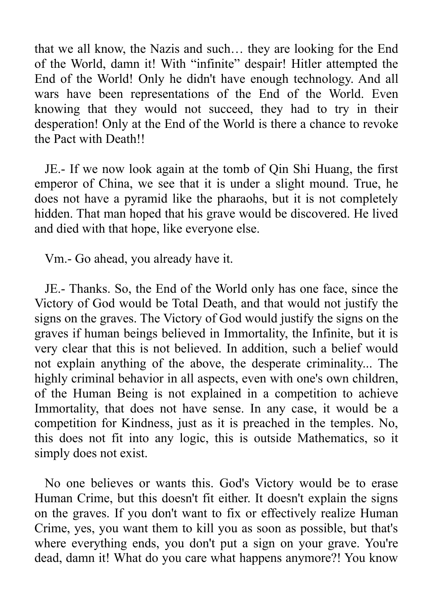that we all know, the Nazis and such… they are looking for the End of the World, damn it! With "infinite" despair! Hitler attempted the End of the World! Only he didn't have enough technology. And all wars have been representations of the End of the World. Even knowing that they would not succeed, they had to try in their desperation! Only at the End of the World is there a chance to revoke the Pact with Death!!

JE.- If we now look again at the tomb of Qin Shi Huang, the first emperor of China, we see that it is under a slight mound. True, he does not have a pyramid like the pharaohs, but it is not completely hidden. That man hoped that his grave would be discovered. He lived and died with that hope, like everyone else.

Vm.- Go ahead, you already have it.

JE.- Thanks. So, the End of the World only has one face, since the Victory of God would be Total Death, and that would not justify the signs on the graves. The Victory of God would justify the signs on the graves if human beings believed in Immortality, the Infinite, but it is very clear that this is not believed. In addition, such a belief would not explain anything of the above, the desperate criminality... The highly criminal behavior in all aspects, even with one's own children, of the Human Being is not explained in a competition to achieve Immortality, that does not have sense. In any case, it would be a competition for Kindness, just as it is preached in the temples. No, this does not fit into any logic, this is outside Mathematics, so it simply does not exist.

No one believes or wants this. God's Victory would be to erase Human Crime, but this doesn't fit either. It doesn't explain the signs on the graves. If you don't want to fix or effectively realize Human Crime, yes, you want them to kill you as soon as possible, but that's where everything ends, you don't put a sign on your grave. You're dead, damn it! What do you care what happens anymore?! You know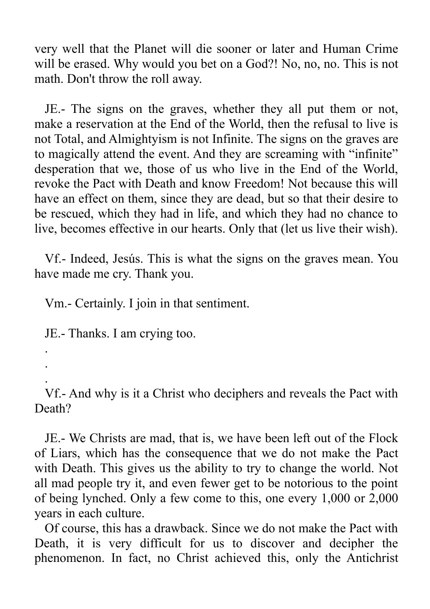very well that the Planet will die sooner or later and Human Crime will be erased. Why would you bet on a God?! No, no, no. This is not math. Don't throw the roll away.

JE.- The signs on the graves, whether they all put them or not, make a reservation at the End of the World, then the refusal to live is not Total, and Almightyism is not Infinite. The signs on the graves are to magically attend the event. And they are screaming with "infinite" desperation that we, those of us who live in the End of the World, revoke the Pact with Death and know Freedom! Not because this will have an effect on them, since they are dead, but so that their desire to be rescued, which they had in life, and which they had no chance to live, becomes effective in our hearts. Only that (let us live their wish).

Vf.- Indeed, Jesús. This is what the signs on the graves mean. You have made me cry. Thank you.

Vm.- Certainly. I join in that sentiment.

JE.- Thanks. I am crying too.

.

.

.

Vf.- And why is it a Christ who deciphers and reveals the Pact with Death?

JE.- We Christs are mad, that is, we have been left out of the Flock of Liars, which has the consequence that we do not make the Pact with Death. This gives us the ability to try to change the world. Not all mad people try it, and even fewer get to be notorious to the point of being lynched. Only a few come to this, one every 1,000 or 2,000 years in each culture.

Of course, this has a drawback. Since we do not make the Pact with Death, it is very difficult for us to discover and decipher the phenomenon. In fact, no Christ achieved this, only the Antichrist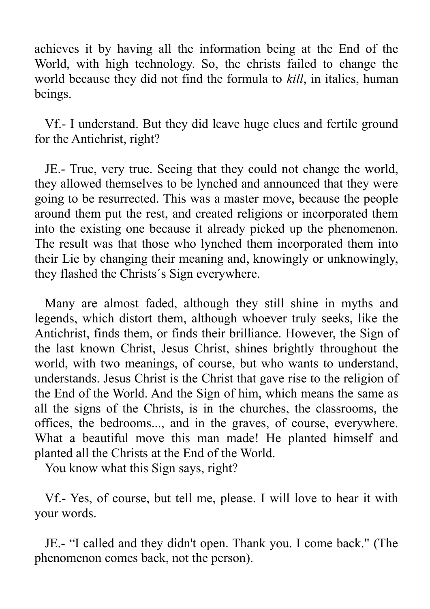achieves it by having all the information being at the End of the World, with high technology. So, the christs failed to change the world because they did not find the formula to *kill*, in italics, human beings.

Vf.- I understand. But they did leave huge clues and fertile ground for the Antichrist, right?

JE.- True, very true. Seeing that they could not change the world, they allowed themselves to be lynched and announced that they were going to be resurrected. This was a master move, because the people around them put the rest, and created religions or incorporated them into the existing one because it already picked up the phenomenon. The result was that those who lynched them incorporated them into their Lie by changing their meaning and, knowingly or unknowingly, they flashed the Christs´s Sign everywhere.

Many are almost faded, although they still shine in myths and legends, which distort them, although whoever truly seeks, like the Antichrist, finds them, or finds their brilliance. However, the Sign of the last known Christ, Jesus Christ, shines brightly throughout the world, with two meanings, of course, but who wants to understand, understands. Jesus Christ is the Christ that gave rise to the religion of the End of the World. And the Sign of him, which means the same as all the signs of the Christs, is in the churches, the classrooms, the offices, the bedrooms..., and in the graves, of course, everywhere. What a beautiful move this man made! He planted himself and planted all the Christs at the End of the World.

You know what this Sign says, right?

Vf.- Yes, of course, but tell me, please. I will love to hear it with your words.

JE.- "I called and they didn't open. Thank you. I come back." (The phenomenon comes back, not the person).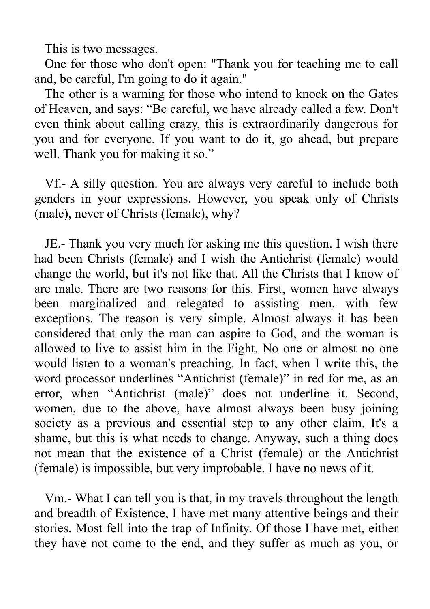This is two messages.

One for those who don't open: "Thank you for teaching me to call and, be careful, I'm going to do it again."

The other is a warning for those who intend to knock on the Gates of Heaven, and says: "Be careful, we have already called a few. Don't even think about calling crazy, this is extraordinarily dangerous for you and for everyone. If you want to do it, go ahead, but prepare well. Thank you for making it so."

Vf.- A silly question. You are always very careful to include both genders in your expressions. However, you speak only of Christs (male), never of Christs (female), why?

JE.- Thank you very much for asking me this question. I wish there had been Christs (female) and I wish the Antichrist (female) would change the world, but it's not like that. All the Christs that I know of are male. There are two reasons for this. First, women have always been marginalized and relegated to assisting men, with few exceptions. The reason is very simple. Almost always it has been considered that only the man can aspire to God, and the woman is allowed to live to assist him in the Fight. No one or almost no one would listen to a woman's preaching. In fact, when I write this, the word processor underlines "Antichrist (female)" in red for me, as an error, when "Antichrist (male)" does not underline it. Second, women, due to the above, have almost always been busy joining society as a previous and essential step to any other claim. It's a shame, but this is what needs to change. Anyway, such a thing does not mean that the existence of a Christ (female) or the Antichrist (female) is impossible, but very improbable. I have no news of it.

Vm.- What I can tell you is that, in my travels throughout the length and breadth of Existence, I have met many attentive beings and their stories. Most fell into the trap of Infinity. Of those I have met, either they have not come to the end, and they suffer as much as you, or